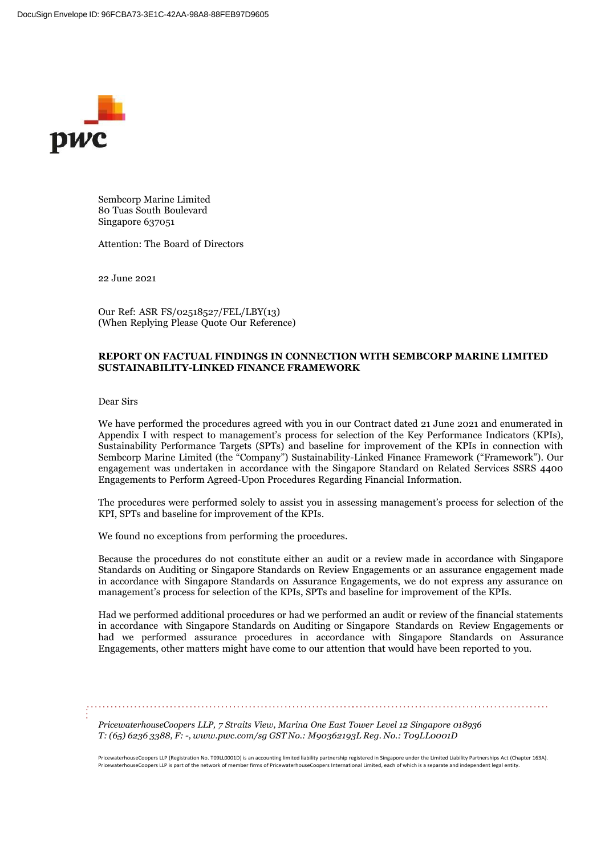

Sembcorp Marine Limited 80 Tuas South Boulevard Singapore 637051

Attention: The Board of Directors

22 June 2021

Our Ref: ASR FS/02518527/FEL/LBY(13) (When Replying Please Quote Our Reference)

## **REPORT ON FACTUAL FINDINGS IN CONNECTION WITH SEMBCORP MARINE LIMITED SUSTAINABILITY-LINKED FINANCE FRAMEWORK**

Dear Sirs

We have performed the procedures agreed with you in our Contract dated 21 June 2021 and enumerated in Appendix I with respect to management's process for selection of the Key Performance Indicators (KPIs), Sustainability Performance Targets (SPTs) and baseline for improvement of the KPIs in connection with Sembcorp Marine Limited (the "Company") Sustainability-Linked Finance Framework ("Framework"). Our engagement was undertaken in accordance with the Singapore Standard on Related Services SSRS 4400 Engagements to Perform Agreed-Upon Procedures Regarding Financial Information.

The procedures were performed solely to assist you in assessing management's process for selection of the KPI, SPTs and baseline for improvement of the KPIs.

We found no exceptions from performing the procedures.

Because the procedures do not constitute either an audit or a review made in accordance with Singapore Standards on Auditing or Singapore Standards on Review Engagements or an assurance engagement made in accordance with Singapore Standards on Assurance Engagements, we do not express any assurance on management's process for selection of the KPIs, SPTs and baseline for improvement of the KPIs.

Had we performed additional procedures or had we performed an audit or review of the financial statements in accordance with Singapore Standards on Auditing or Singapore Standards on Review Engagements or had we performed assurance procedures in accordance with Singapore Standards on Assurance Engagements, other matters might have come to our attention that would have been reported to you.

*PricewaterhouseCoopers LLP, 7 Straits View, Marina One East Tower Level 12 Singapore 018936 T:(65) 6236 3388, F: -, [www.pwc.com/sg](http://www.pwc.com/sg) GST No.: M90362193L Reg. No.: T09LL0001D*

PricewaterhouseCoopers LLP (Registration No. T09LL0001D) is an accounting limited liability partnership registered in Singapore under the Limited Liability Partnerships Act (Chapter 163A). PricewaterhouseCoopers LLP is part of the network of member firms of PricewaterhouseCoopers International Limited, each of which is a separate and independent legal entity.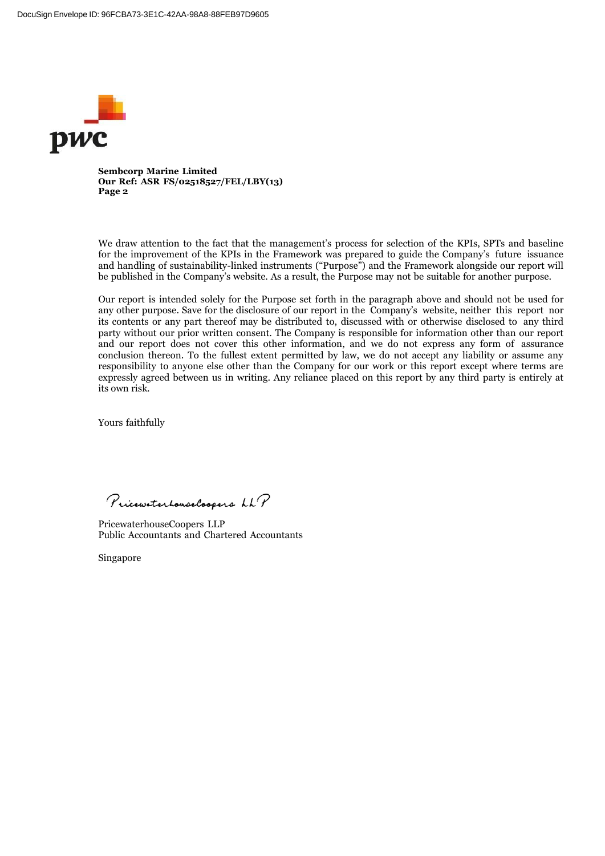

**Sembcorp Marine Limited Our Ref: ASR FS/02518527/FEL/LBY(13) Page 2**

We draw attention to the fact that the management's process for selection of the KPIs, SPTs and baseline for the improvement of the KPIs in the Framework was prepared to guide the Company's future issuance and handling of sustainability-linked instruments ("Purpose") and the Framework alongside our report will be published in the Company's website. As a result, the Purpose may not be suitable for another purpose.

Our report is intended solely for the Purpose set forth in the paragraph above and should not be used for any other purpose. Save for the disclosure of our report in the Company's website, neither this report nor its contents or any part thereof may be distributed to, discussed with or otherwise disclosed to any third party without our prior written consent. The Company is responsible for information other than our report and our report does not cover this other information, and we do not express any form of assurance conclusion thereon. To the fullest extent permitted by law, we do not accept any liability or assume any responsibility to anyone else other than the Company for our work or this report except where terms are expressly agreed between us in writing. Any reliance placed on this report by any third party is entirely at its own risk.

Yours faithfully

Pricewaterhouse Coopers LLP

PricewaterhouseCoopers LLP Public Accountants and Chartered Accountants

Singapore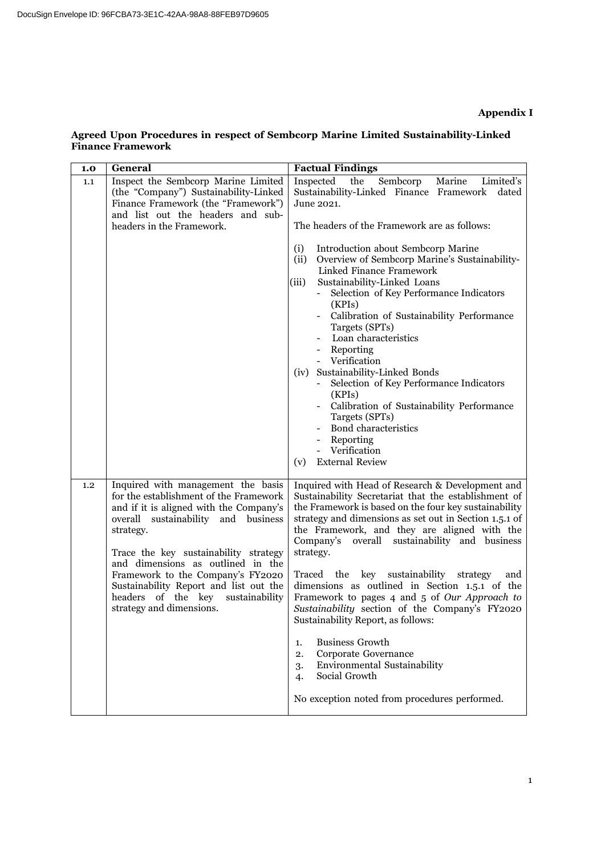## **Agreed Upon Procedures in respect of Sembcorp Marine Limited Sustainability-Linked Finance Framework**

| 1.0 | <b>General</b>                                                                                                                                                                                                                                                                                                                                                                                               | <b>Factual Findings</b>                                                                                                                                                                                                                                                                                                                                                                                                                                                                                                                                                                                                                                                                                                                                                    |  |
|-----|--------------------------------------------------------------------------------------------------------------------------------------------------------------------------------------------------------------------------------------------------------------------------------------------------------------------------------------------------------------------------------------------------------------|----------------------------------------------------------------------------------------------------------------------------------------------------------------------------------------------------------------------------------------------------------------------------------------------------------------------------------------------------------------------------------------------------------------------------------------------------------------------------------------------------------------------------------------------------------------------------------------------------------------------------------------------------------------------------------------------------------------------------------------------------------------------------|--|
| 1.1 | Inspect the Sembcorp Marine Limited<br>(the "Company") Sustainability-Linked<br>Finance Framework (the "Framework")<br>and list out the headers and sub-                                                                                                                                                                                                                                                     | Inspected<br>the<br>Sembcorp<br>Marine<br>Limited's<br>Sustainability-Linked Finance Framework<br>dated<br>June 2021.                                                                                                                                                                                                                                                                                                                                                                                                                                                                                                                                                                                                                                                      |  |
|     | headers in the Framework.                                                                                                                                                                                                                                                                                                                                                                                    | The headers of the Framework are as follows:<br>Introduction about Sembcorp Marine<br>(i)<br>(ii)<br>Overview of Sembcorp Marine's Sustainability-<br>Linked Finance Framework<br>(iii)<br>Sustainability-Linked Loans<br>Selection of Key Performance Indicators<br>(KPIs)<br>Calibration of Sustainability Performance<br>Targets (SPTs)<br>Loan characteristics<br>- Reporting<br>- Verification<br>(iv) Sustainability-Linked Bonds<br>Selection of Key Performance Indicators<br>(KPIs)<br>Calibration of Sustainability Performance<br>Targets (SPTs)<br><b>Bond characteristics</b><br>Reporting<br>Verification<br><b>External Review</b><br>(v)                                                                                                                   |  |
| 1.2 | Inquired with management the basis<br>for the establishment of the Framework<br>and if it is aligned with the Company's<br>overall sustainability and business<br>strategy.<br>Trace the key sustainability strategy<br>and dimensions as outlined in the<br>Framework to the Company's FY2020<br>Sustainability Report and list out the<br>headers of the key<br>sustainability<br>strategy and dimensions. | Inquired with Head of Research & Development and<br>Sustainability Secretariat that the establishment of<br>the Framework is based on the four key sustainability<br>strategy and dimensions as set out in Section 1.5.1 of<br>the Framework, and they are aligned with the<br>Company's<br>sustainability and business<br>overall<br>strategy.<br>Traced the key sustainability<br>strategy<br>and<br>dimensions as outlined in Section 1.5.1 of the<br>Framework to pages 4 and 5 of Our Approach to<br>Sustainability section of the Company's FY2020<br>Sustainability Report, as follows:<br><b>Business Growth</b><br>1.<br>Corporate Governance<br>2.<br>Environmental Sustainability<br>3.<br>Social Growth<br>4.<br>No exception noted from procedures performed. |  |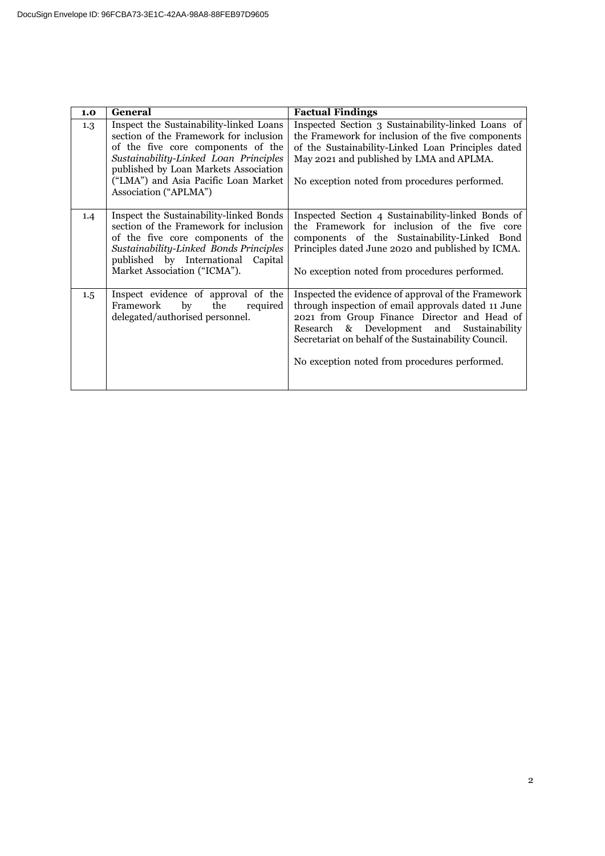| 1.0 | <b>General</b>                                                                                                                                                                                                                                                             | <b>Factual Findings</b>                                                                                                                                                                                                                                                                                          |
|-----|----------------------------------------------------------------------------------------------------------------------------------------------------------------------------------------------------------------------------------------------------------------------------|------------------------------------------------------------------------------------------------------------------------------------------------------------------------------------------------------------------------------------------------------------------------------------------------------------------|
| 1.3 | Inspect the Sustainability-linked Loans<br>section of the Framework for inclusion<br>of the five core components of the<br>Sustainability-Linked Loan Principles<br>published by Loan Markets Association<br>("LMA") and Asia Pacific Loan Market<br>Association ("APLMA") | Inspected Section 3 Sustainability-linked Loans of<br>the Framework for inclusion of the five components<br>of the Sustainability-Linked Loan Principles dated<br>May 2021 and published by LMA and APLMA.<br>No exception noted from procedures performed.                                                      |
| 1.4 | Inspect the Sustainability-linked Bonds<br>section of the Framework for inclusion<br>of the five core components of the<br>Sustainability-Linked Bonds Principles<br>published by International<br>Capital<br>Market Association ("ICMA").                                 | Inspected Section 4 Sustainability-linked Bonds of<br>the Framework for inclusion of the five core<br>components of the Sustainability-Linked Bond<br>Principles dated June 2020 and published by ICMA.<br>No exception noted from procedures performed.                                                         |
| 1.5 | Inspect evidence of approval of the<br>by<br>the<br>required<br>Framework<br>delegated/authorised personnel.                                                                                                                                                               | Inspected the evidence of approval of the Framework<br>through inspection of email approvals dated 11 June<br>2021 from Group Finance Director and Head of<br>Research & Development and Sustainability<br>Secretariat on behalf of the Sustainability Council.<br>No exception noted from procedures performed. |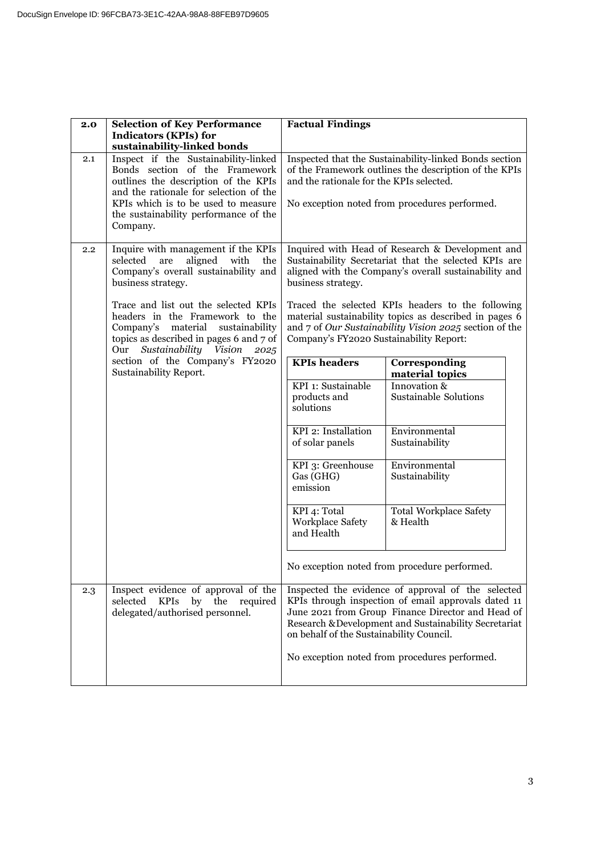| 2.0                                                                                                                                                                                                | <b>Selection of Key Performance</b>                                                                                                            | <b>Factual Findings</b>                                                                                                                                                                                                                                             |                                                                                                                                                                    |
|----------------------------------------------------------------------------------------------------------------------------------------------------------------------------------------------------|------------------------------------------------------------------------------------------------------------------------------------------------|---------------------------------------------------------------------------------------------------------------------------------------------------------------------------------------------------------------------------------------------------------------------|--------------------------------------------------------------------------------------------------------------------------------------------------------------------|
|                                                                                                                                                                                                    | <b>Indicators (KPIs) for</b>                                                                                                                   |                                                                                                                                                                                                                                                                     |                                                                                                                                                                    |
| 2.1                                                                                                                                                                                                | sustainability-linked bonds<br>Inspect if the Sustainability-linked<br>Bonds section of the Framework                                          |                                                                                                                                                                                                                                                                     | Inspected that the Sustainability-linked Bonds section<br>of the Framework outlines the description of the KPIs                                                    |
|                                                                                                                                                                                                    | outlines the description of the KPIs<br>and the rationale for selection of the                                                                 | and the rationale for the KPIs selected.                                                                                                                                                                                                                            |                                                                                                                                                                    |
|                                                                                                                                                                                                    | KPIs which is to be used to measure<br>the sustainability performance of the<br>Company.                                                       |                                                                                                                                                                                                                                                                     | No exception noted from procedures performed.                                                                                                                      |
| $2.2^{\circ}$                                                                                                                                                                                      | Inquire with management if the KPIs<br>selected<br>are<br>aligned<br>with<br>the<br>Company's overall sustainability and<br>business strategy. | business strategy.                                                                                                                                                                                                                                                  | Inquired with Head of Research & Development and<br>Sustainability Secretariat that the selected KPIs are<br>aligned with the Company's overall sustainability and |
| Trace and list out the selected KPIs<br>headers in the Framework to the<br>material<br>Company's<br>sustainability<br>topics as described in pages 6 and 7 of<br>Sustainability Vision 2025<br>Our | Company's FY2020 Sustainability Report:                                                                                                        | Traced the selected KPIs headers to the following<br>material sustainability topics as described in pages 6<br>and 7 of Our Sustainability Vision 2025 section of the                                                                                               |                                                                                                                                                                    |
|                                                                                                                                                                                                    | section of the Company's FY2020<br>Sustainability Report.                                                                                      | <b>KPIs</b> headers                                                                                                                                                                                                                                                 | Corresponding<br>material topics                                                                                                                                   |
|                                                                                                                                                                                                    | KPI 1: Sustainable<br>products and<br>solutions                                                                                                | Innovation &<br>Sustainable Solutions                                                                                                                                                                                                                               |                                                                                                                                                                    |
|                                                                                                                                                                                                    |                                                                                                                                                | KPI 2: Installation<br>of solar panels                                                                                                                                                                                                                              | Environmental<br>Sustainability                                                                                                                                    |
|                                                                                                                                                                                                    |                                                                                                                                                | KPI 3: Greenhouse<br>Gas (GHG)<br>emission                                                                                                                                                                                                                          | Environmental<br>Sustainability                                                                                                                                    |
|                                                                                                                                                                                                    |                                                                                                                                                | KPI 4: Total<br>Workplace Safety<br>and Health                                                                                                                                                                                                                      | <b>Total Workplace Safety</b><br>& Health                                                                                                                          |
|                                                                                                                                                                                                    |                                                                                                                                                |                                                                                                                                                                                                                                                                     | No exception noted from procedure performed.                                                                                                                       |
| 2.3                                                                                                                                                                                                | Inspect evidence of approval of the<br><b>KPIs</b><br>by the<br>required<br>selected<br>delegated/authorised personnel.                        | Inspected the evidence of approval of the selected<br>KPIs through inspection of email approvals dated 11<br>June 2021 from Group Finance Director and Head of<br>Research & Development and Sustainability Secretariat<br>on behalf of the Sustainability Council. |                                                                                                                                                                    |
|                                                                                                                                                                                                    |                                                                                                                                                |                                                                                                                                                                                                                                                                     | No exception noted from procedures performed.                                                                                                                      |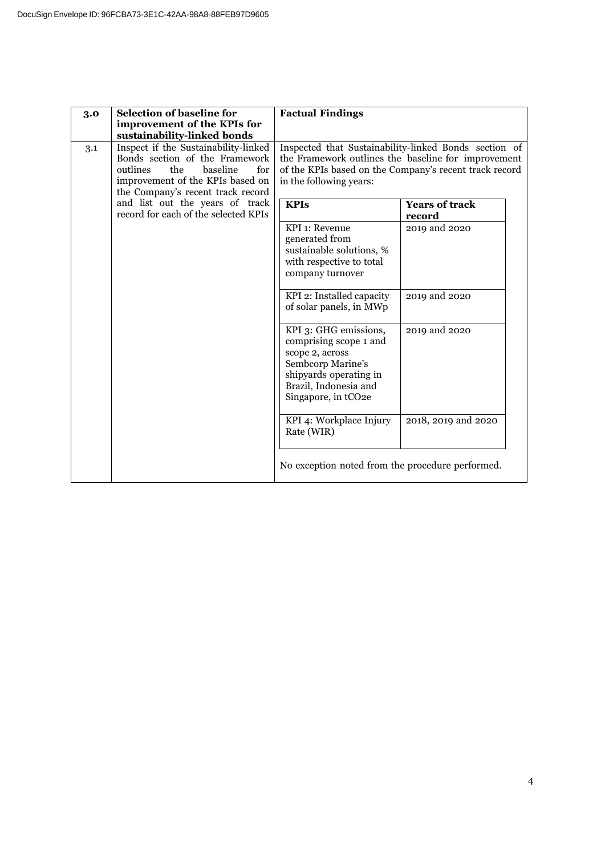| 3.0 | <b>Selection of baseline for</b><br>improvement of the KPIs for                                                                                                                 | <b>Factual Findings</b>                                                                                                                                                                                                                           |                                                                                                                                                                        |
|-----|---------------------------------------------------------------------------------------------------------------------------------------------------------------------------------|---------------------------------------------------------------------------------------------------------------------------------------------------------------------------------------------------------------------------------------------------|------------------------------------------------------------------------------------------------------------------------------------------------------------------------|
| 3.1 | sustainability-linked bonds<br>Inspect if the Sustainability-linked<br>Bonds section of the Framework<br>the<br>baseline<br>for<br>outlines<br>improvement of the KPIs based on | in the following years:                                                                                                                                                                                                                           | Inspected that Sustainability-linked Bonds section of<br>the Framework outlines the baseline for improvement<br>of the KPIs based on the Company's recent track record |
|     | the Company's recent track record<br>and list out the years of track<br>record for each of the selected KPIs                                                                    | <b>KPIs</b><br>KPI 1: Revenue<br>generated from<br>sustainable solutions, %<br>with respective to total<br>company turnover<br>KPI 2: Installed capacity<br>of solar panels, in MWp<br>KPI 3: GHG emissions,                                      | <b>Years of track</b><br>record<br>2019 and 2020<br>2019 and 2020<br>2019 and 2020                                                                                     |
|     |                                                                                                                                                                                 | comprising scope 1 and<br>scope 2, across<br>Sembcorp Marine's<br>shipyards operating in<br>Brazil, Indonesia and<br>Singapore, in tCO <sub>2e</sub><br>KPI 4: Workplace Injury<br>Rate (WIR)<br>No exception noted from the procedure performed. | 2018, 2019 and 2020                                                                                                                                                    |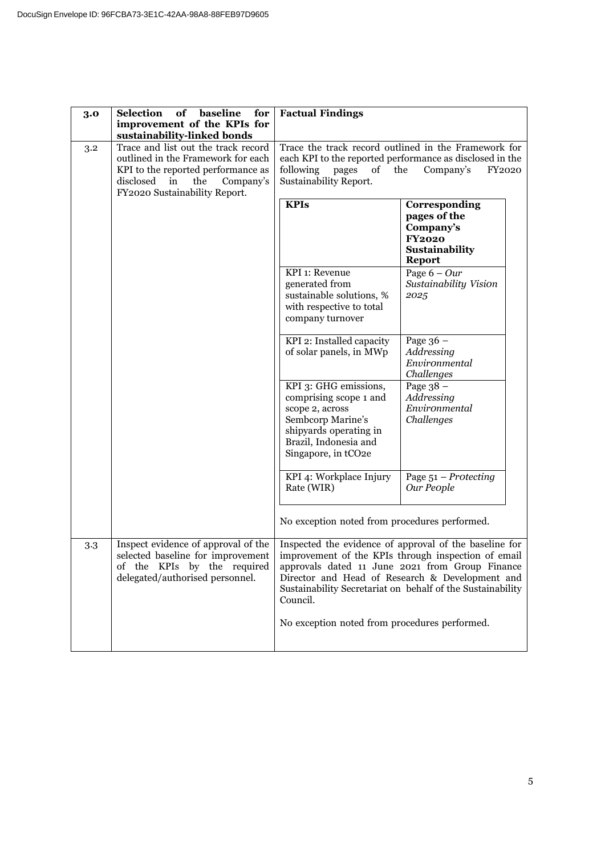| 3.0              | <b>Selection</b><br>of<br>baseline<br>for                                                                                                                                               | <b>Factual Findings</b>                                                                                                                                                                                                                                                                       |                                                                                                                                                       |
|------------------|-----------------------------------------------------------------------------------------------------------------------------------------------------------------------------------------|-----------------------------------------------------------------------------------------------------------------------------------------------------------------------------------------------------------------------------------------------------------------------------------------------|-------------------------------------------------------------------------------------------------------------------------------------------------------|
|                  | improvement of the KPIs for<br>sustainability-linked bonds                                                                                                                              |                                                                                                                                                                                                                                                                                               |                                                                                                                                                       |
| $3.2\phantom{0}$ | Trace and list out the track record<br>outlined in the Framework for each<br>KPI to the reported performance as<br>disclosed<br>the<br>in<br>Company's<br>FY2020 Sustainability Report. | following<br>of<br>pages<br>Sustainability Report.                                                                                                                                                                                                                                            | Trace the track record outlined in the Framework for<br>each KPI to the reported performance as disclosed in the<br>the<br>Company's<br><b>FY2020</b> |
|                  |                                                                                                                                                                                         | <b>KPIs</b>                                                                                                                                                                                                                                                                                   | Corresponding<br>pages of the<br>Company's<br><b>FY2020</b><br>Sustainability<br><b>Report</b>                                                        |
|                  |                                                                                                                                                                                         | KPI 1: Revenue<br>generated from<br>sustainable solutions, %<br>with respective to total<br>company turnover                                                                                                                                                                                  | Page $6 - Our$<br>Sustainability Vision<br>2025                                                                                                       |
|                  |                                                                                                                                                                                         | KPI 2: Installed capacity<br>of solar panels, in MWp                                                                                                                                                                                                                                          | Page $36 -$<br>Addressing<br>Environmental<br>Challenges                                                                                              |
|                  |                                                                                                                                                                                         | KPI 3: GHG emissions,<br>comprising scope 1 and<br>scope 2, across<br>Sembcorp Marine's<br>shipyards operating in<br>Brazil, Indonesia and<br>Singapore, in tCO2e                                                                                                                             | Page $38 -$<br>Addressing<br>Environmental<br>Challenges                                                                                              |
|                  |                                                                                                                                                                                         | KPI 4: Workplace Injury<br>Rate (WIR)                                                                                                                                                                                                                                                         | Page $51$ – Protecting<br>Our People                                                                                                                  |
|                  |                                                                                                                                                                                         | No exception noted from procedures performed.                                                                                                                                                                                                                                                 |                                                                                                                                                       |
| 3.3              | Inspect evidence of approval of the<br>selected baseline for improvement<br>of the KPIs by the required<br>delegated/authorised personnel.                                              | Inspected the evidence of approval of the baseline for<br>improvement of the KPIs through inspection of email<br>approvals dated 11 June 2021 from Group Finance<br>Director and Head of Research & Development and<br>Sustainability Secretariat on behalf of the Sustainability<br>Council. |                                                                                                                                                       |
|                  |                                                                                                                                                                                         | No exception noted from procedures performed.                                                                                                                                                                                                                                                 |                                                                                                                                                       |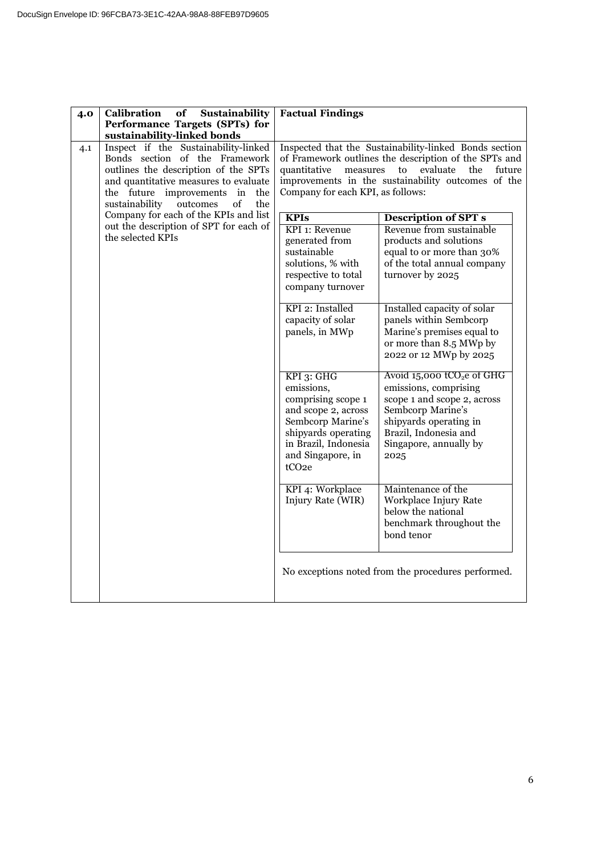| 4.0                                                                                                                                                                                                                                                                                | <b>Calibration</b><br>of<br>Sustainability                                                                      | <b>Factual Findings</b>                                                                                                                                                                                  |                                                                                                                                                                                                            |
|------------------------------------------------------------------------------------------------------------------------------------------------------------------------------------------------------------------------------------------------------------------------------------|-----------------------------------------------------------------------------------------------------------------|----------------------------------------------------------------------------------------------------------------------------------------------------------------------------------------------------------|------------------------------------------------------------------------------------------------------------------------------------------------------------------------------------------------------------|
|                                                                                                                                                                                                                                                                                    | Performance Targets (SPTs) for                                                                                  |                                                                                                                                                                                                          |                                                                                                                                                                                                            |
| sustainability-linked bonds<br>Inspect if the Sustainability-linked<br>4.1<br>Bonds section of the Framework<br>outlines the description of the SPTs<br>and quantitative measures to evaluate<br>the future<br>improvements in<br>the<br>sustainability<br>of<br>the<br>$outcomes$ | quantitative<br>measures<br>Company for each KPI, as follows:                                                   | Inspected that the Sustainability-linked Bonds section<br>of Framework outlines the description of the SPTs and<br>to<br>evaluate<br>future<br>the<br>improvements in the sustainability outcomes of the |                                                                                                                                                                                                            |
|                                                                                                                                                                                                                                                                                    | Company for each of the KPIs and list                                                                           | <b>KPIs</b>                                                                                                                                                                                              | <b>Description of SPT s</b>                                                                                                                                                                                |
| out the description of SPT for each of<br>the selected KPIs                                                                                                                                                                                                                        | KPI 1: Revenue<br>generated from<br>sustainable<br>solutions, % with<br>respective to total<br>company turnover | Revenue from sustainable<br>products and solutions<br>equal to or more than 30%<br>of the total annual company<br>turnover by 2025                                                                       |                                                                                                                                                                                                            |
|                                                                                                                                                                                                                                                                                    |                                                                                                                 | KPI 2: Installed<br>capacity of solar<br>panels, in MWp                                                                                                                                                  | Installed capacity of solar<br>panels within Sembcorp<br>Marine's premises equal to<br>or more than 8.5 MWp by<br>2022 or 12 MWp by 2025                                                                   |
|                                                                                                                                                                                                                                                                                    |                                                                                                                 | KPI 3: GHG<br>emissions,<br>comprising scope 1<br>and scope 2, across<br>Sembcorp Marine's<br>shipyards operating<br>in Brazil, Indonesia<br>and Singapore, in<br>tCO <sub>2e</sub>                      | Avoid $15,000$ tCO <sub>2</sub> e of GHG<br>emissions, comprising<br>scope 1 and scope 2, across<br>Sembcorp Marine's<br>shipyards operating in<br>Brazil, Indonesia and<br>Singapore, annually by<br>2025 |
|                                                                                                                                                                                                                                                                                    |                                                                                                                 | KPI 4: Workplace<br>Injury Rate (WIR)                                                                                                                                                                    | Maintenance of the<br>Workplace Injury Rate<br>below the national<br>benchmark throughout the<br>bond tenor                                                                                                |
|                                                                                                                                                                                                                                                                                    |                                                                                                                 |                                                                                                                                                                                                          | No exceptions noted from the procedures performed.                                                                                                                                                         |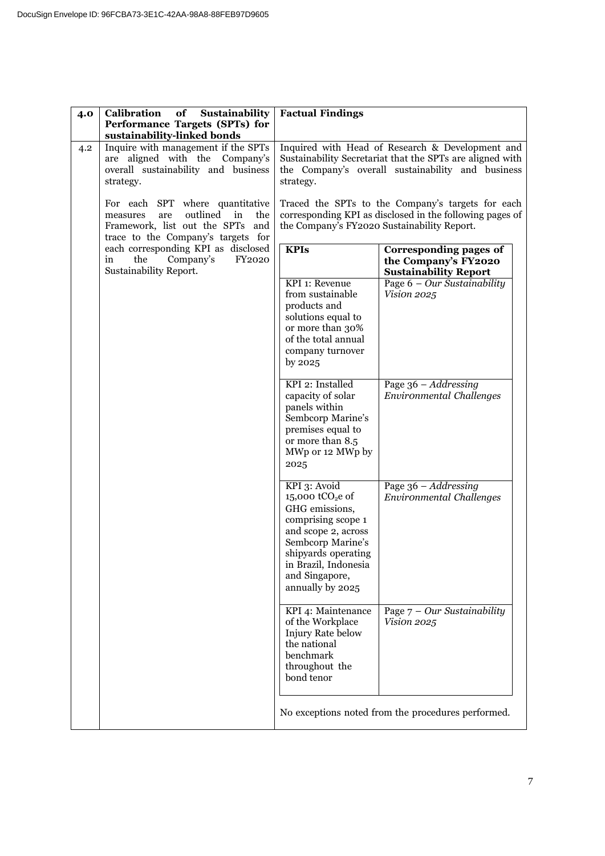| 4.0                                                                                                                | Calibration<br>of<br>Sustainability<br>Performance Targets (SPTs) for                                                                                                                       | <b>Factual Findings</b>                                                                                                                                                                                                 |                                                                                                                                                                    |
|--------------------------------------------------------------------------------------------------------------------|---------------------------------------------------------------------------------------------------------------------------------------------------------------------------------------------|-------------------------------------------------------------------------------------------------------------------------------------------------------------------------------------------------------------------------|--------------------------------------------------------------------------------------------------------------------------------------------------------------------|
| 4.2                                                                                                                | sustainability-linked bonds<br>Inquire with management if the SPTs<br>are aligned with the Company's<br>overall sustainability and business<br>strategy.<br>For each SPT where quantitative | strategy.                                                                                                                                                                                                               | Inquired with Head of Research & Development and<br>Sustainability Secretariat that the SPTs are aligned with<br>the Company's overall sustainability and business |
| outlined<br>in<br>are<br>the<br>measures<br>Framework, list out the SPTs and<br>trace to the Company's targets for | Traced the SPTs to the Company's targets for each<br>corresponding KPI as disclosed in the following pages of<br>the Company's FY2020 Sustainability Report.                                |                                                                                                                                                                                                                         |                                                                                                                                                                    |
|                                                                                                                    | each corresponding KPI as disclosed<br>Company's<br>FY2020<br>in<br>the<br>Sustainability Report.                                                                                           | <b>KPIs</b>                                                                                                                                                                                                             | Corresponding pages of<br>the Company's FY2020<br><b>Sustainability Report</b>                                                                                     |
|                                                                                                                    |                                                                                                                                                                                             | KPI 1: Revenue<br>from sustainable<br>products and<br>solutions equal to<br>or more than 30%<br>of the total annual<br>company turnover<br>by 2025                                                                      | Page $6 - Our$ Sustainability<br>Vision 2025                                                                                                                       |
|                                                                                                                    |                                                                                                                                                                                             | KPI 2: Installed<br>capacity of solar<br>panels within<br>Sembcorp Marine's<br>premises equal to<br>or more than 8.5<br>MWp or 12 MWp by<br>2025                                                                        | Page $36 - Addressing$<br><b>Environmental Challenges</b>                                                                                                          |
|                                                                                                                    |                                                                                                                                                                                             | KPI 3: Avoid<br>$15,000$ tCO <sub>2</sub> e of<br>GHG emissions,<br>comprising scope 1<br>and scope 2, across<br>Sembcorp Marine's<br>shipyards operating<br>in Brazil, Indonesia<br>and Singapore,<br>annually by 2025 | Page $36 - Addressing$<br><b>Environmental Challenges</b>                                                                                                          |
|                                                                                                                    |                                                                                                                                                                                             | KPI 4: Maintenance<br>of the Workplace<br>Injury Rate below<br>the national<br>benchmark<br>throughout the<br>bond tenor                                                                                                | Page $7 - Our$ Sustainability<br>Vision 2025                                                                                                                       |
|                                                                                                                    |                                                                                                                                                                                             |                                                                                                                                                                                                                         | No exceptions noted from the procedures performed.                                                                                                                 |